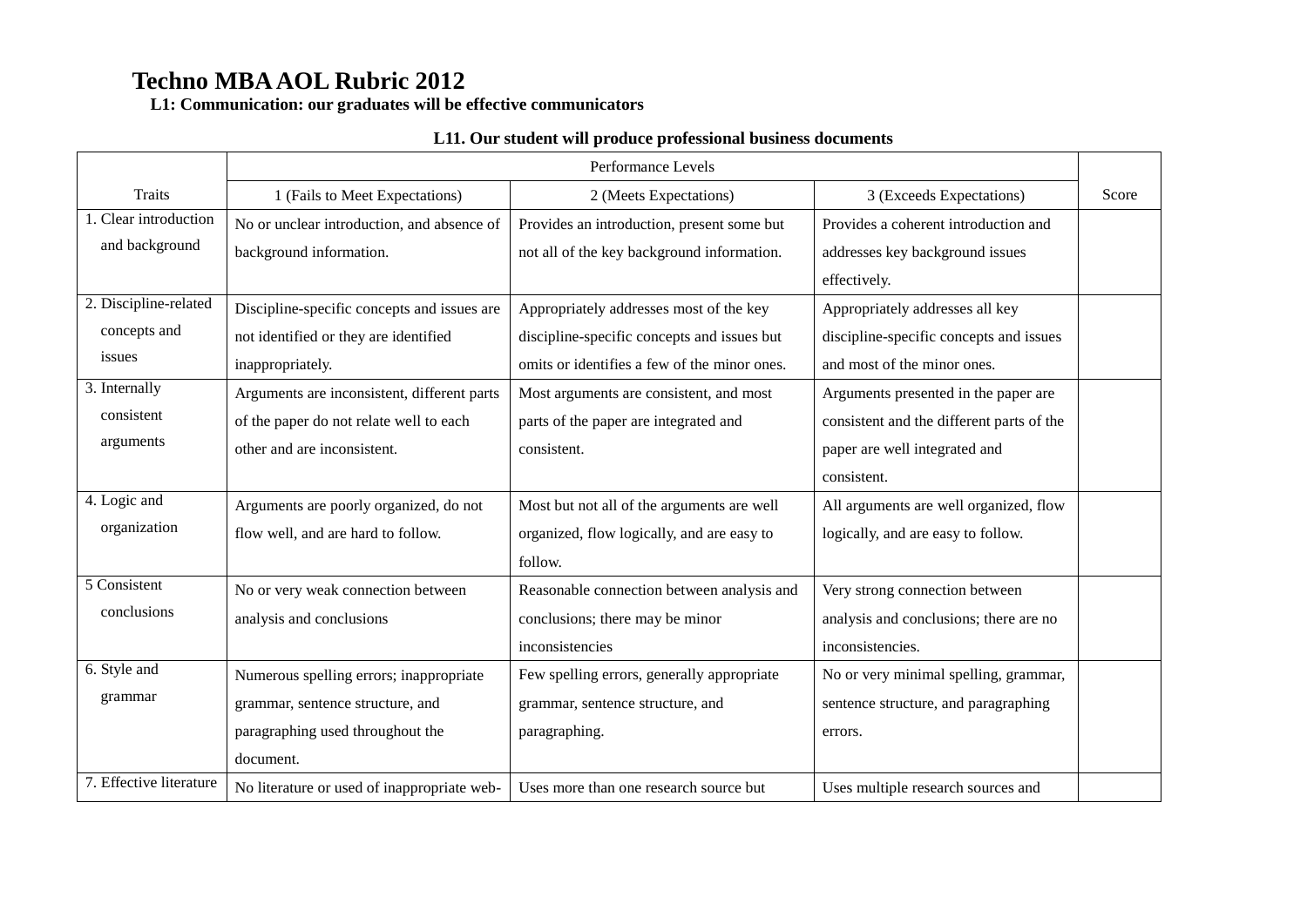**L1: Communication: our graduates will be effective communicators**

### **L11. Our student will produce professional business documents**

|                         |                                             | Performance Levels                           |                                           |       |
|-------------------------|---------------------------------------------|----------------------------------------------|-------------------------------------------|-------|
| <b>Traits</b>           | 1 (Fails to Meet Expectations)              | 2 (Meets Expectations)                       | 3 (Exceeds Expectations)                  | Score |
| 1. Clear introduction   | No or unclear introduction, and absence of  | Provides an introduction, present some but   | Provides a coherent introduction and      |       |
| and background          | background information.                     | not all of the key background information.   | addresses key background issues           |       |
|                         |                                             |                                              | effectively.                              |       |
| 2. Discipline-related   | Discipline-specific concepts and issues are | Appropriately addresses most of the key      | Appropriately addresses all key           |       |
| concepts and            | not identified or they are identified       | discipline-specific concepts and issues but  | discipline-specific concepts and issues   |       |
| issues                  | inappropriately.                            | omits or identifies a few of the minor ones. | and most of the minor ones.               |       |
| 3. Internally           | Arguments are inconsistent, different parts | Most arguments are consistent, and most      | Arguments presented in the paper are      |       |
| consistent              | of the paper do not relate well to each     | parts of the paper are integrated and        | consistent and the different parts of the |       |
| arguments               | other and are inconsistent.                 | consistent.                                  | paper are well integrated and             |       |
|                         |                                             |                                              | consistent.                               |       |
| 4. Logic and            | Arguments are poorly organized, do not      | Most but not all of the arguments are well   | All arguments are well organized, flow    |       |
| organization            | flow well, and are hard to follow.          | organized, flow logically, and are easy to   | logically, and are easy to follow.        |       |
|                         |                                             | follow.                                      |                                           |       |
| 5 Consistent            | No or very weak connection between          | Reasonable connection between analysis and   | Very strong connection between            |       |
| conclusions             | analysis and conclusions                    | conclusions; there may be minor              | analysis and conclusions; there are no    |       |
|                         |                                             | inconsistencies                              | inconsistencies.                          |       |
| 6. Style and            | Numerous spelling errors; inappropriate     | Few spelling errors, generally appropriate   | No or very minimal spelling, grammar,     |       |
| grammar                 | grammar, sentence structure, and            | grammar, sentence structure, and             | sentence structure, and paragraphing      |       |
|                         | paragraphing used throughout the            | paragraphing.                                | errors.                                   |       |
|                         | document.                                   |                                              |                                           |       |
| 7. Effective literature | No literature or used of inappropriate web- | Uses more than one research source but       | Uses multiple research sources and        |       |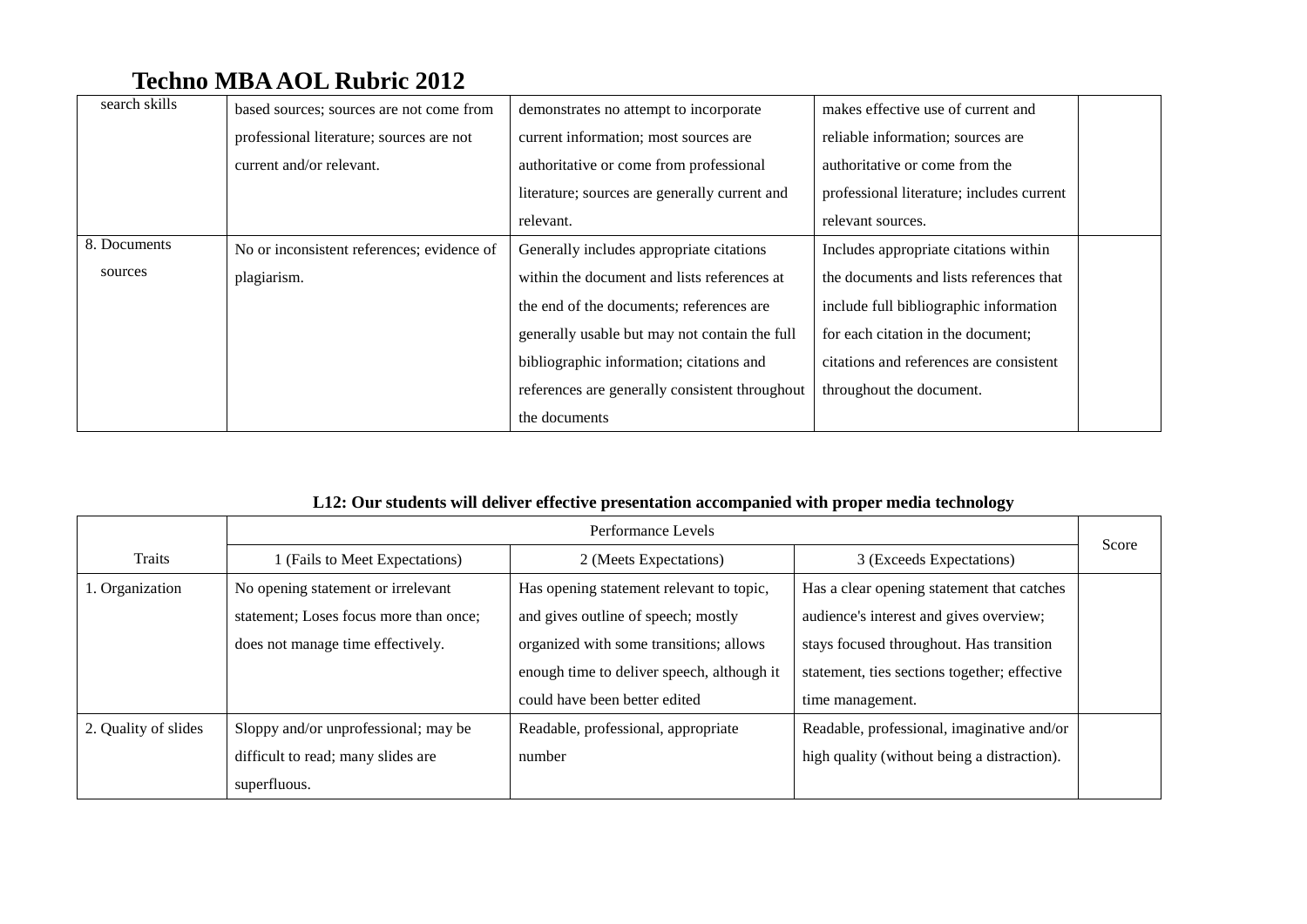| search skills | based sources; sources are not come from   | demonstrates no attempt to incorporate         | makes effective use of current and        |
|---------------|--------------------------------------------|------------------------------------------------|-------------------------------------------|
|               | professional literature; sources are not   | current information; most sources are          | reliable information; sources are         |
|               | current and/or relevant.                   | authoritative or come from professional        | authoritative or come from the            |
|               |                                            | literature; sources are generally current and  | professional literature; includes current |
|               |                                            | relevant.                                      | relevant sources.                         |
| 8. Documents  | No or inconsistent references; evidence of | Generally includes appropriate citations       | Includes appropriate citations within     |
| sources       | plagiarism.                                | within the document and lists references at    | the documents and lists references that   |
|               |                                            | the end of the documents; references are       | include full bibliographic information    |
|               |                                            | generally usable but may not contain the full  | for each citation in the document;        |
|               |                                            | bibliographic information; citations and       | citations and references are consistent   |
|               |                                            | references are generally consistent throughout | throughout the document.                  |
|               |                                            | the documents                                  |                                           |

### **L12: Our students will deliver effective presentation accompanied with proper media technology**

|                      | Performance Levels                     |                                            |                                              |       |
|----------------------|----------------------------------------|--------------------------------------------|----------------------------------------------|-------|
| Traits               | (Fails to Meet Expectations)           | 2 (Meets Expectations)                     | 3 (Exceeds Expectations)                     | Score |
| 1. Organization      | No opening statement or irrelevant     | Has opening statement relevant to topic,   | Has a clear opening statement that catches   |       |
|                      | statement; Loses focus more than once; | and gives outline of speech; mostly        | audience's interest and gives overview;      |       |
|                      | does not manage time effectively.      | organized with some transitions; allows    | stays focused throughout. Has transition     |       |
|                      |                                        | enough time to deliver speech, although it | statement, ties sections together; effective |       |
|                      |                                        | could have been better edited              | time management.                             |       |
| 2. Quality of slides | Sloppy and/or unprofessional; may be   | Readable, professional, appropriate        | Readable, professional, imaginative and/or   |       |
|                      | difficult to read; many slides are     | number                                     | high quality (without being a distraction).  |       |
|                      | superfluous.                           |                                            |                                              |       |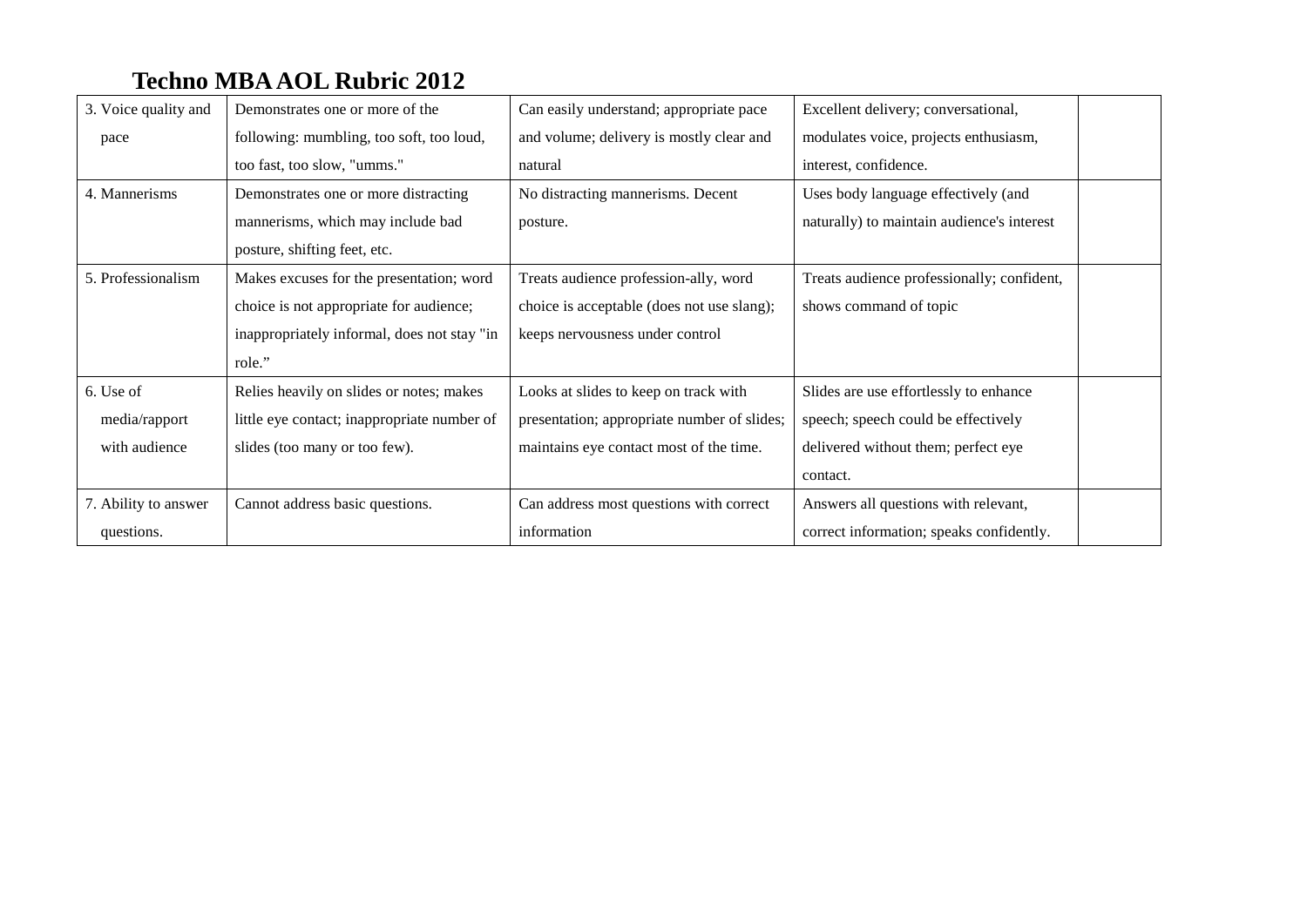| 3. Voice quality and | Demonstrates one or more of the             | Can easily understand; appropriate pace     | Excellent delivery; conversational,        |  |
|----------------------|---------------------------------------------|---------------------------------------------|--------------------------------------------|--|
| pace                 | following: mumbling, too soft, too loud,    | and volume; delivery is mostly clear and    | modulates voice, projects enthusiasm,      |  |
|                      | too fast, too slow, "umms."                 | natural                                     | interest, confidence.                      |  |
| 4. Mannerisms        | Demonstrates one or more distracting        | No distracting mannerisms. Decent           | Uses body language effectively (and        |  |
|                      | mannerisms, which may include bad           | posture.                                    | naturally) to maintain audience's interest |  |
|                      | posture, shifting feet, etc.                |                                             |                                            |  |
| 5. Professionalism   | Makes excuses for the presentation; word    | Treats audience profession-ally, word       | Treats audience professionally; confident, |  |
|                      | choice is not appropriate for audience;     | choice is acceptable (does not use slang);  | shows command of topic                     |  |
|                      | inappropriately informal, does not stay "in | keeps nervousness under control             |                                            |  |
|                      | role."                                      |                                             |                                            |  |
| 6. Use of            | Relies heavily on slides or notes; makes    | Looks at slides to keep on track with       | Slides are use effortlessly to enhance     |  |
| media/rapport        | little eye contact; inappropriate number of | presentation; appropriate number of slides; | speech; speech could be effectively        |  |
| with audience        | slides (too many or too few).               | maintains eye contact most of the time.     | delivered without them; perfect eye        |  |
|                      |                                             |                                             | contact.                                   |  |
| 7. Ability to answer | Cannot address basic questions.             | Can address most questions with correct     | Answers all questions with relevant,       |  |
| questions.           |                                             | information                                 | correct information; speaks confidently.   |  |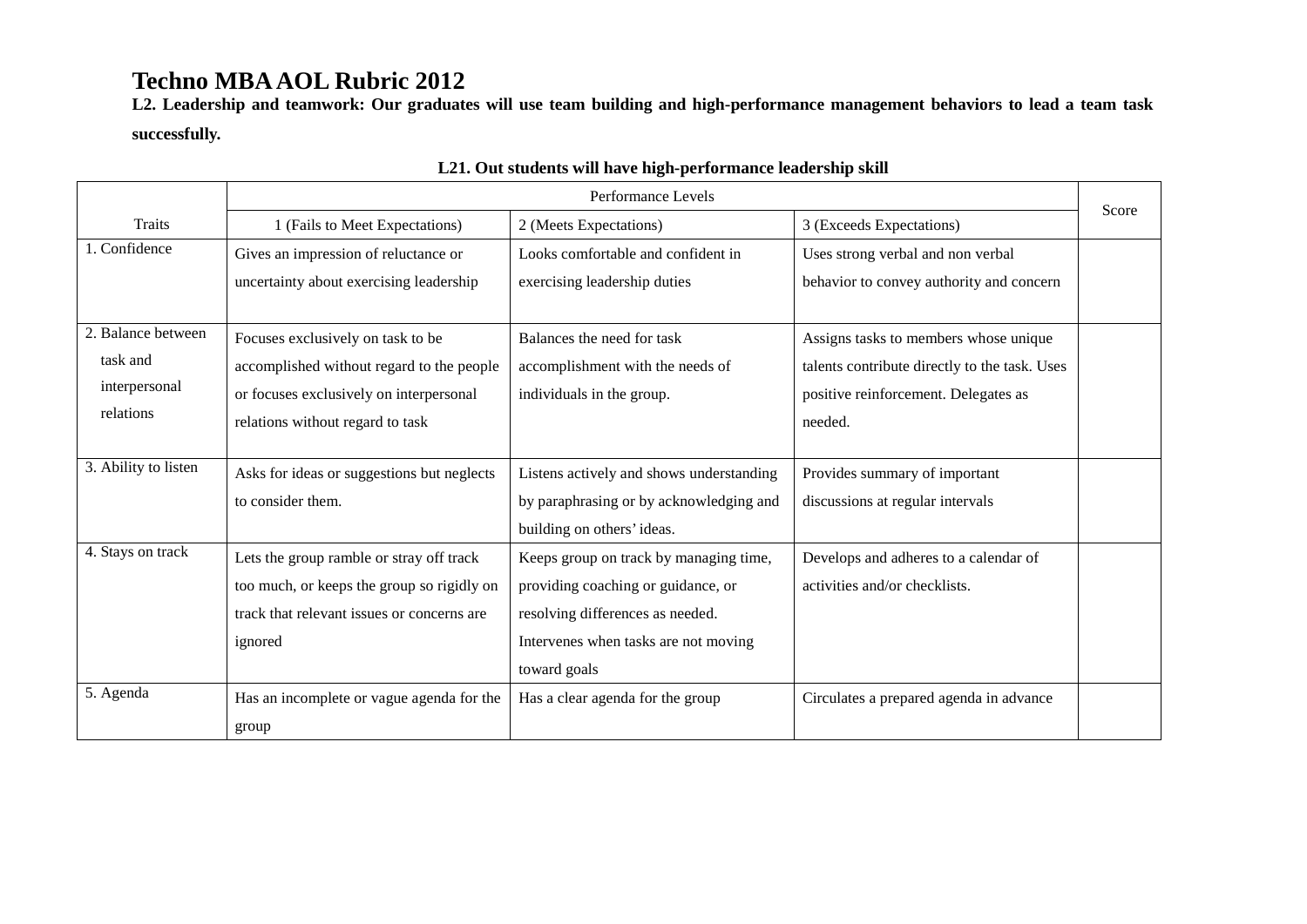**L2. Leadership and teamwork: Our graduates will use team building and high-performance management behaviors to lead a team task successfully.**

|                      | Performance Levels                         |                                          |                                               |       |
|----------------------|--------------------------------------------|------------------------------------------|-----------------------------------------------|-------|
| Traits               | 1 (Fails to Meet Expectations)             | 2 (Meets Expectations)                   | 3 (Exceeds Expectations)                      | Score |
| 1. Confidence        | Gives an impression of reluctance or       | Looks comfortable and confident in       | Uses strong verbal and non verbal             |       |
|                      | uncertainty about exercising leadership    | exercising leadership duties             | behavior to convey authority and concern      |       |
|                      |                                            |                                          |                                               |       |
| 2. Balance between   | Focuses exclusively on task to be          | Balances the need for task               | Assigns tasks to members whose unique         |       |
| task and             | accomplished without regard to the people  | accomplishment with the needs of         | talents contribute directly to the task. Uses |       |
| interpersonal        | or focuses exclusively on interpersonal    | individuals in the group.                | positive reinforcement. Delegates as          |       |
| relations            | relations without regard to task           |                                          | needed.                                       |       |
|                      |                                            |                                          |                                               |       |
| 3. Ability to listen | Asks for ideas or suggestions but neglects | Listens actively and shows understanding | Provides summary of important                 |       |
|                      | to consider them.                          | by paraphrasing or by acknowledging and  | discussions at regular intervals              |       |
|                      |                                            | building on others' ideas.               |                                               |       |
| 4. Stays on track    | Lets the group ramble or stray off track   | Keeps group on track by managing time,   | Develops and adheres to a calendar of         |       |
|                      | too much, or keeps the group so rigidly on | providing coaching or guidance, or       | activities and/or checklists.                 |       |
|                      | track that relevant issues or concerns are | resolving differences as needed.         |                                               |       |
|                      | ignored                                    | Intervenes when tasks are not moving     |                                               |       |
|                      |                                            | toward goals                             |                                               |       |
| 5. Agenda            | Has an incomplete or vague agenda for the  | Has a clear agenda for the group         | Circulates a prepared agenda in advance       |       |
|                      | group                                      |                                          |                                               |       |

### **L21. Out students will have high-performance leadership skill**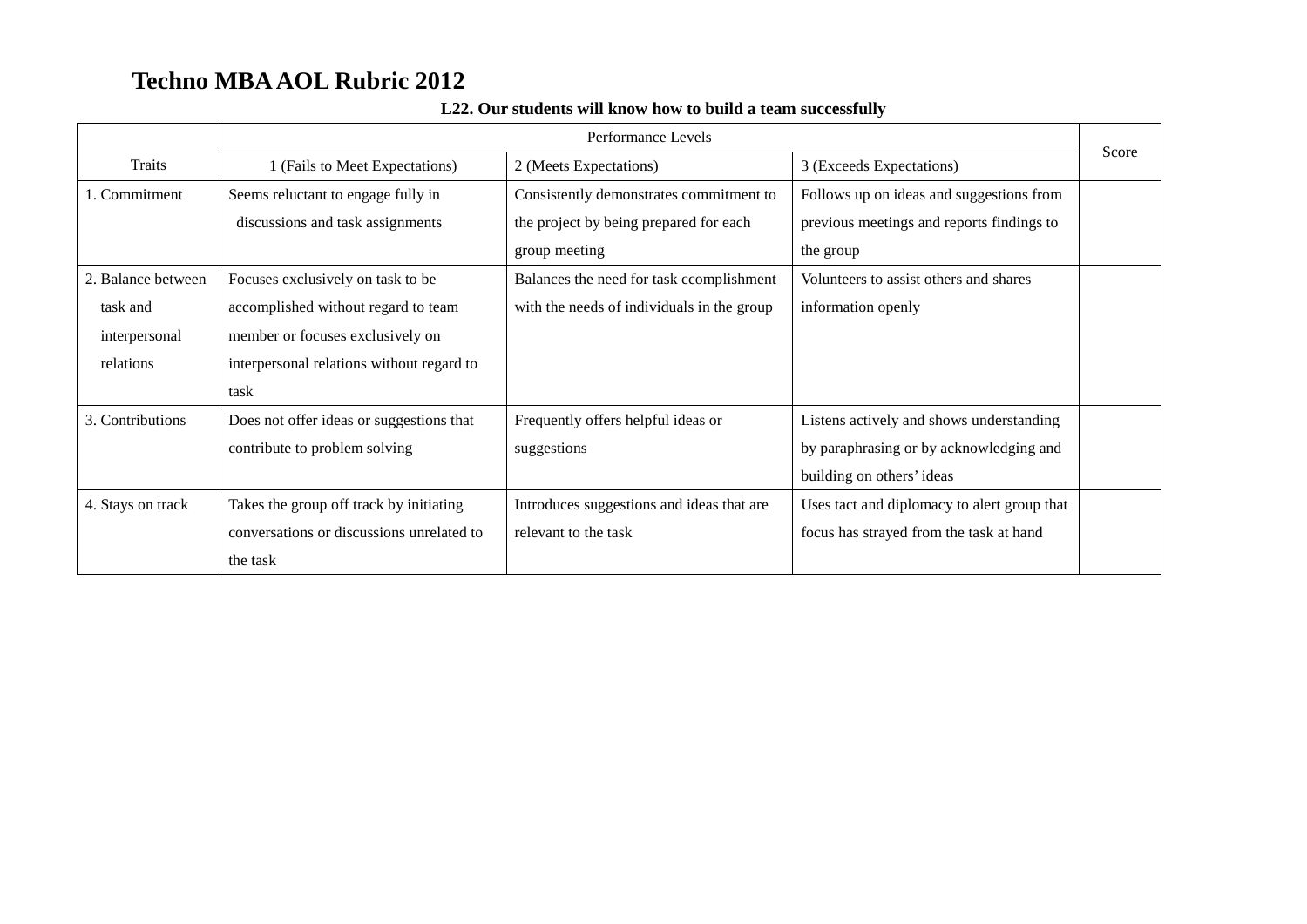|                    | Performance Levels                        |                                            |                                             |       |
|--------------------|-------------------------------------------|--------------------------------------------|---------------------------------------------|-------|
| Traits             | 1 (Fails to Meet Expectations)            | 2 (Meets Expectations)                     | 3 (Exceeds Expectations)                    | Score |
| 1. Commitment      | Seems reluctant to engage fully in        | Consistently demonstrates commitment to    | Follows up on ideas and suggestions from    |       |
|                    | discussions and task assignments          | the project by being prepared for each     | previous meetings and reports findings to   |       |
|                    |                                           | group meeting                              | the group                                   |       |
| 2. Balance between | Focuses exclusively on task to be         | Balances the need for task ccomplishment   | Volunteers to assist others and shares      |       |
| task and           | accomplished without regard to team       | with the needs of individuals in the group | information openly                          |       |
| interpersonal      | member or focuses exclusively on          |                                            |                                             |       |
| relations          | interpersonal relations without regard to |                                            |                                             |       |
|                    | task                                      |                                            |                                             |       |
| 3. Contributions   | Does not offer ideas or suggestions that  | Frequently offers helpful ideas or         | Listens actively and shows understanding    |       |
|                    | contribute to problem solving             | suggestions                                | by paraphrasing or by acknowledging and     |       |
|                    |                                           |                                            | building on others' ideas                   |       |
| 4. Stays on track  | Takes the group off track by initiating   | Introduces suggestions and ideas that are  | Uses tact and diplomacy to alert group that |       |
|                    | conversations or discussions unrelated to | relevant to the task                       | focus has strayed from the task at hand     |       |
|                    | the task                                  |                                            |                                             |       |

### **L22. Our students will know how to build a team successfully**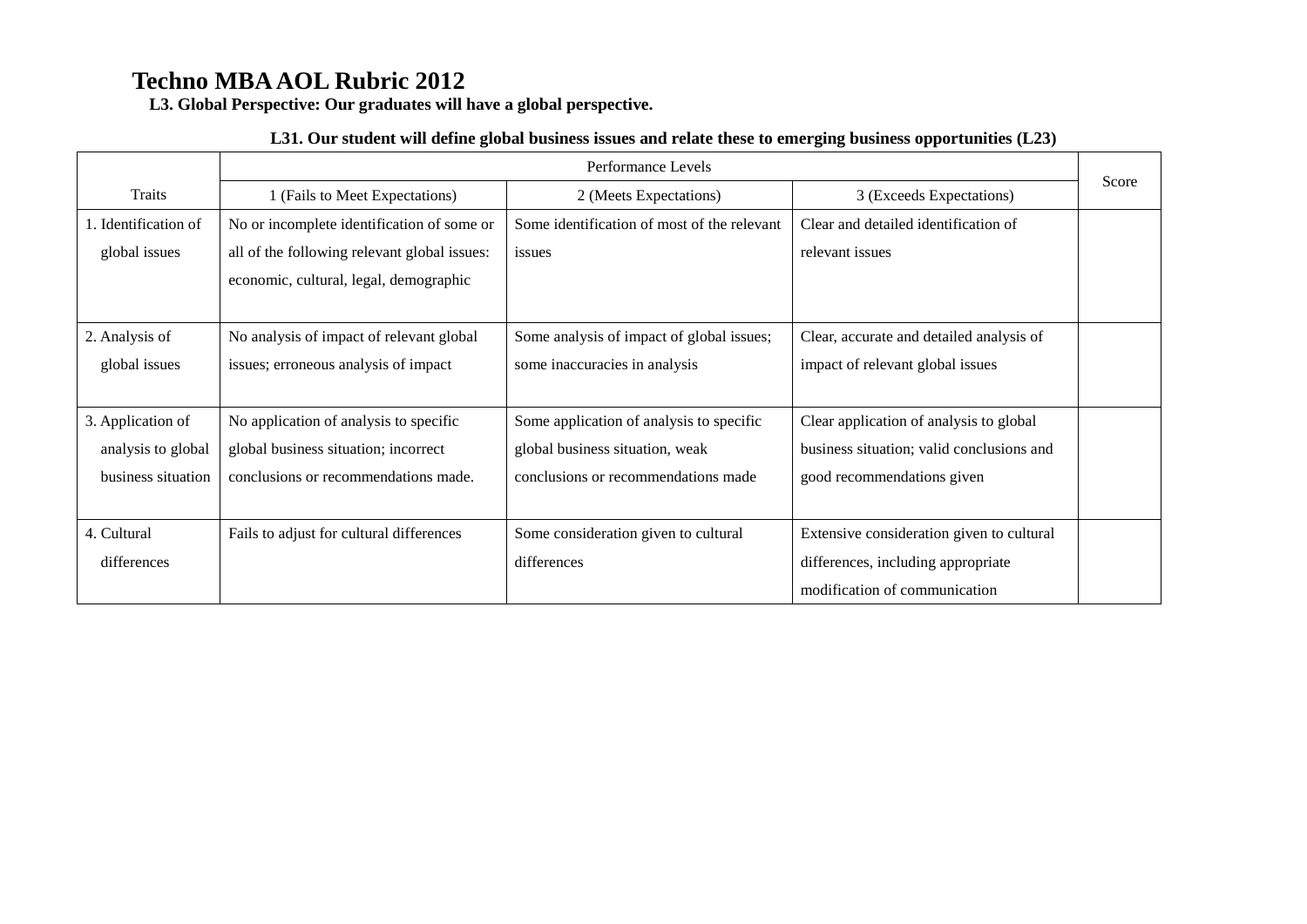**L3. Global Perspective: Our graduates will have a global perspective.**

#### **L31. Our student will define global business issues and relate these to emerging business opportunities (L23)**

|                      | Performance Levels                           |                                             |                                           |       |
|----------------------|----------------------------------------------|---------------------------------------------|-------------------------------------------|-------|
| <b>Traits</b>        | 1 (Fails to Meet Expectations)               | 2 (Meets Expectations)                      | 3 (Exceeds Expectations)                  | Score |
| 1. Identification of | No or incomplete identification of some or   | Some identification of most of the relevant | Clear and detailed identification of      |       |
| global issues        | all of the following relevant global issues: | issues                                      | relevant issues                           |       |
|                      | economic, cultural, legal, demographic       |                                             |                                           |       |
|                      |                                              |                                             |                                           |       |
| 2. Analysis of       | No analysis of impact of relevant global     | Some analysis of impact of global issues;   | Clear, accurate and detailed analysis of  |       |
| global issues        | issues; erroneous analysis of impact         | some inaccuracies in analysis               | impact of relevant global issues          |       |
|                      |                                              |                                             |                                           |       |
| 3. Application of    | No application of analysis to specific       | Some application of analysis to specific    | Clear application of analysis to global   |       |
| analysis to global   | global business situation; incorrect         | global business situation, weak             | business situation; valid conclusions and |       |
| business situation   | conclusions or recommendations made.         | conclusions or recommendations made         | good recommendations given                |       |
|                      |                                              |                                             |                                           |       |
| 4. Cultural          | Fails to adjust for cultural differences     | Some consideration given to cultural        | Extensive consideration given to cultural |       |
| differences          |                                              | differences                                 | differences, including appropriate        |       |
|                      |                                              |                                             | modification of communication             |       |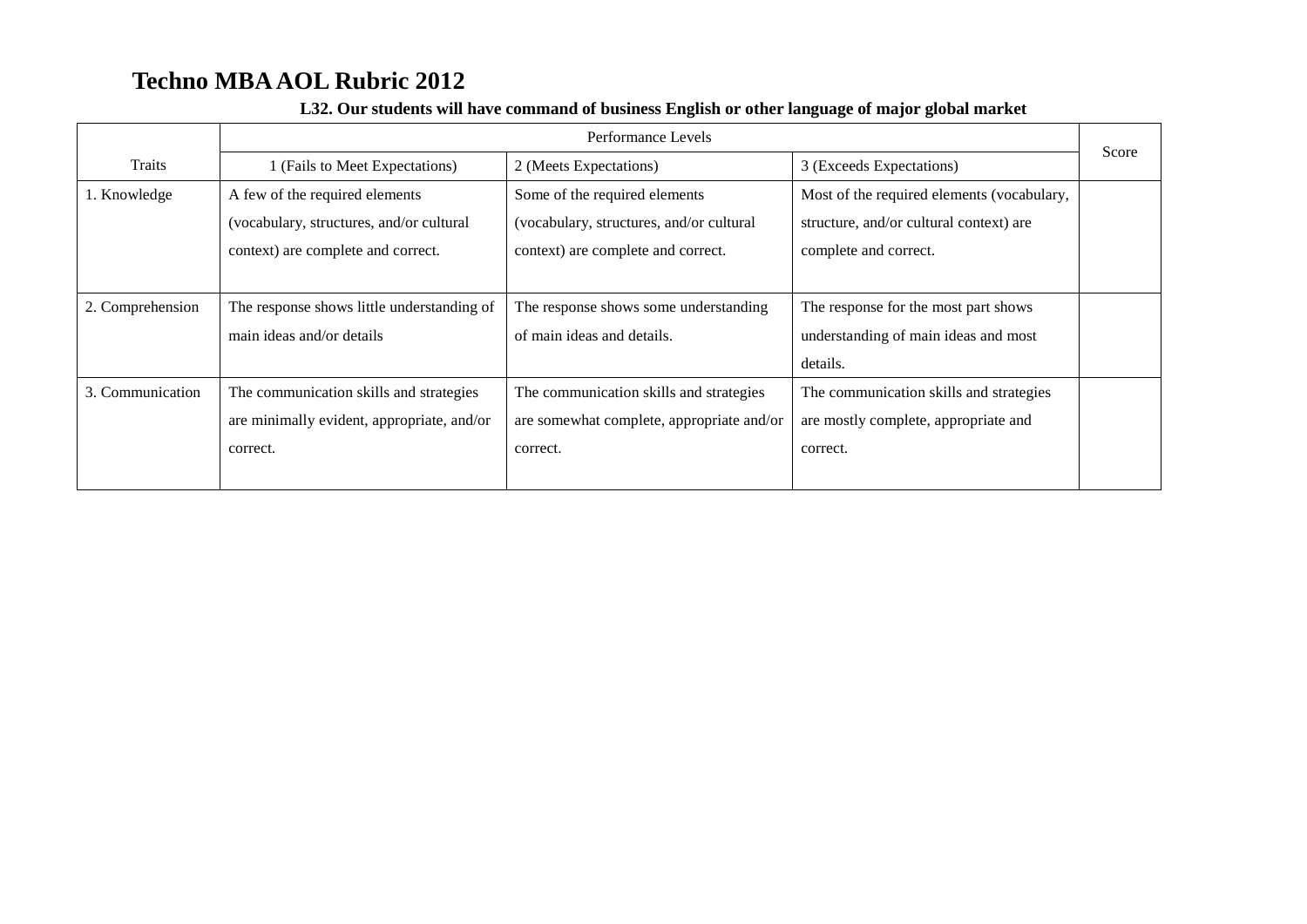|                  | Performance Levels                         |                                           |                                            |       |
|------------------|--------------------------------------------|-------------------------------------------|--------------------------------------------|-------|
| Traits           | 1 (Fails to Meet Expectations)             | 2 (Meets Expectations)                    | 3 (Exceeds Expectations)                   | Score |
| 1. Knowledge     | A few of the required elements             | Some of the required elements             | Most of the required elements (vocabulary, |       |
|                  | (vocabulary, structures, and/or cultural   | (vocabulary, structures, and/or cultural  | structure, and/or cultural context) are    |       |
|                  | context) are complete and correct.         | context) are complete and correct.        | complete and correct.                      |       |
|                  |                                            |                                           |                                            |       |
| 2. Comprehension | The response shows little understanding of | The response shows some understanding     | The response for the most part shows       |       |
|                  | main ideas and/or details                  | of main ideas and details.                | understanding of main ideas and most       |       |
|                  |                                            |                                           | details.                                   |       |
| 3. Communication | The communication skills and strategies    | The communication skills and strategies   | The communication skills and strategies    |       |
|                  | are minimally evident, appropriate, and/or | are somewhat complete, appropriate and/or | are mostly complete, appropriate and       |       |
|                  | correct.                                   | correct.                                  | correct.                                   |       |
|                  |                                            |                                           |                                            |       |

#### **L32. Our students will have command of business English or other language of major global market**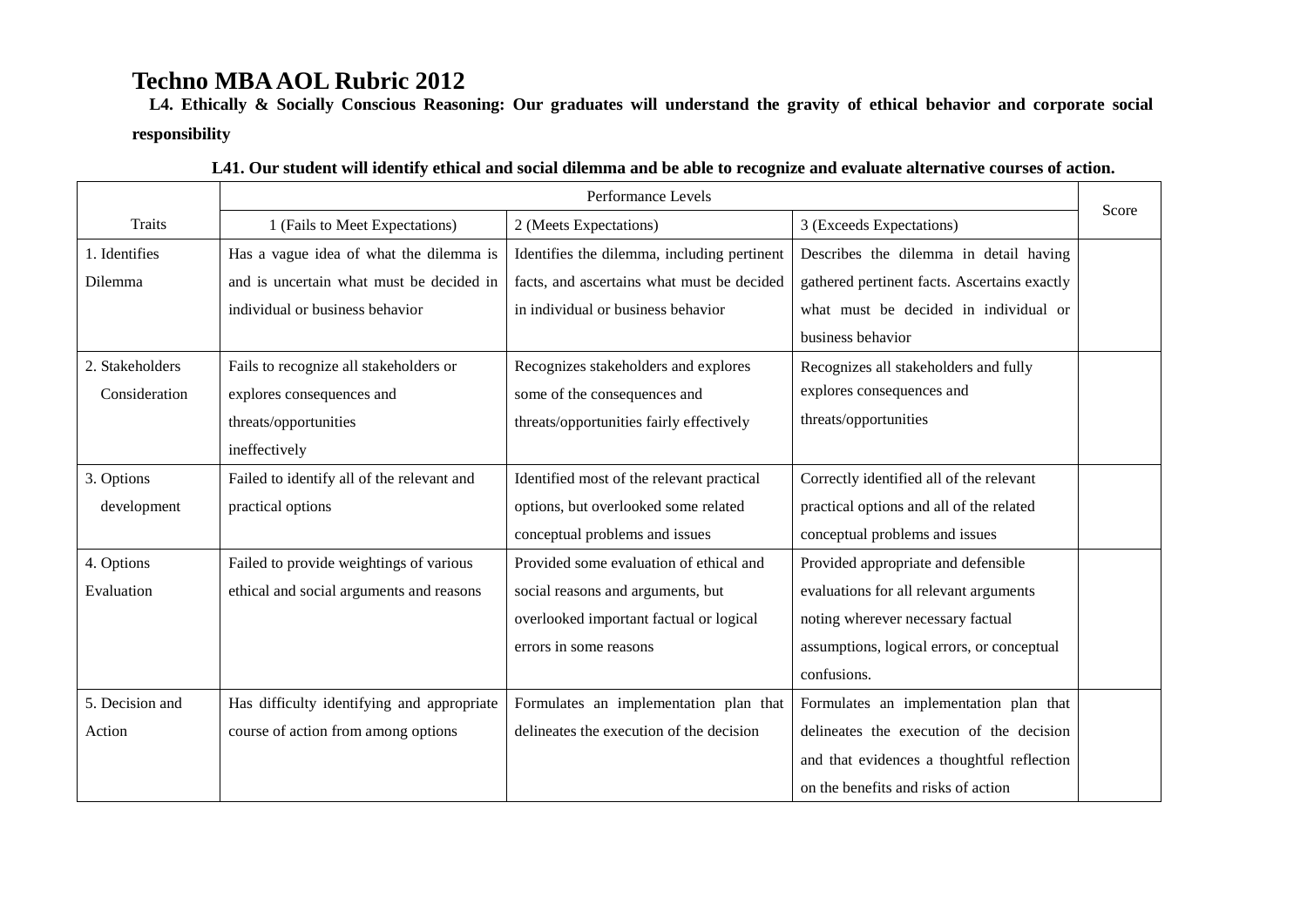**L4. Ethically & Socially Conscious Reasoning: Our graduates will understand the gravity of ethical behavior and corporate social responsibility**

|                 | Performance Levels                         |                                             |                                              |       |
|-----------------|--------------------------------------------|---------------------------------------------|----------------------------------------------|-------|
| <b>Traits</b>   | 1 (Fails to Meet Expectations)             | 2 (Meets Expectations)                      | 3 (Exceeds Expectations)                     | Score |
| 1. Identifies   | Has a vague idea of what the dilemma is    | Identifies the dilemma, including pertinent | Describes the dilemma in detail having       |       |
| Dilemma         | and is uncertain what must be decided in   | facts, and ascertains what must be decided  | gathered pertinent facts. Ascertains exactly |       |
|                 | individual or business behavior            | in individual or business behavior          | what must be decided in individual or        |       |
|                 |                                            |                                             | business behavior                            |       |
| 2. Stakeholders | Fails to recognize all stakeholders or     | Recognizes stakeholders and explores        | Recognizes all stakeholders and fully        |       |
| Consideration   | explores consequences and                  | some of the consequences and                | explores consequences and                    |       |
|                 | threats/opportunities                      | threats/opportunities fairly effectively    | threats/opportunities                        |       |
|                 | ineffectively                              |                                             |                                              |       |
| 3. Options      | Failed to identify all of the relevant and | Identified most of the relevant practical   | Correctly identified all of the relevant     |       |
| development     | practical options                          | options, but overlooked some related        | practical options and all of the related     |       |
|                 |                                            | conceptual problems and issues              | conceptual problems and issues               |       |
| 4. Options      | Failed to provide weightings of various    | Provided some evaluation of ethical and     | Provided appropriate and defensible          |       |
| Evaluation      | ethical and social arguments and reasons   | social reasons and arguments, but           | evaluations for all relevant arguments       |       |
|                 |                                            | overlooked important factual or logical     | noting wherever necessary factual            |       |
|                 |                                            | errors in some reasons                      | assumptions, logical errors, or conceptual   |       |
|                 |                                            |                                             | confusions.                                  |       |
| 5. Decision and | Has difficulty identifying and appropriate | Formulates an implementation plan that      | Formulates an implementation plan that       |       |
| Action          | course of action from among options        | delineates the execution of the decision    | delineates the execution of the decision     |       |
|                 |                                            |                                             | and that evidences a thoughtful reflection   |       |
|                 |                                            |                                             | on the benefits and risks of action          |       |

| L41. Our student will identify ethical and social dilemma and be able to recognize and evaluate alternative courses of action. |  |
|--------------------------------------------------------------------------------------------------------------------------------|--|
|--------------------------------------------------------------------------------------------------------------------------------|--|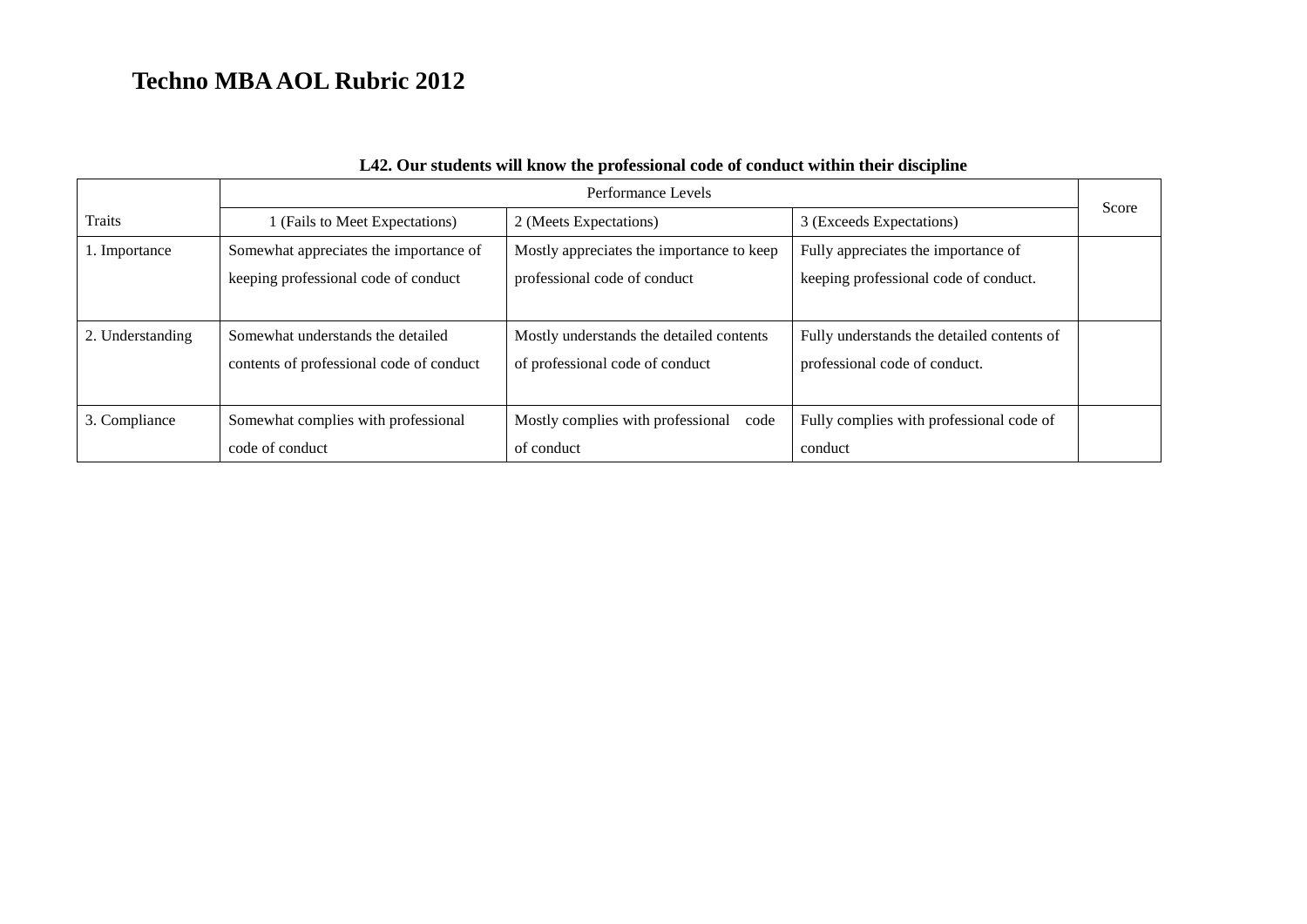|                  | Performance Levels                                                             |                                                                             |                                                                              | Score |
|------------------|--------------------------------------------------------------------------------|-----------------------------------------------------------------------------|------------------------------------------------------------------------------|-------|
| <b>Traits</b>    | 1 (Fails to Meet Expectations)                                                 | 2 (Meets Expectations)                                                      | 3 (Exceeds Expectations)                                                     |       |
| 1. Importance    | Somewhat appreciates the importance of<br>keeping professional code of conduct | Mostly appreciates the importance to keep<br>professional code of conduct   | Fully appreciates the importance of<br>keeping professional code of conduct. |       |
| 2. Understanding | Somewhat understands the detailed<br>contents of professional code of conduct  | Mostly understands the detailed contents<br>of professional code of conduct | Fully understands the detailed contents of<br>professional code of conduct.  |       |
| 3. Compliance    | Somewhat complies with professional<br>code of conduct                         | Mostly complies with professional code<br>of conduct                        | Fully complies with professional code of<br>conduct                          |       |

### **L42. Our students will know the professional code of conduct within their discipline**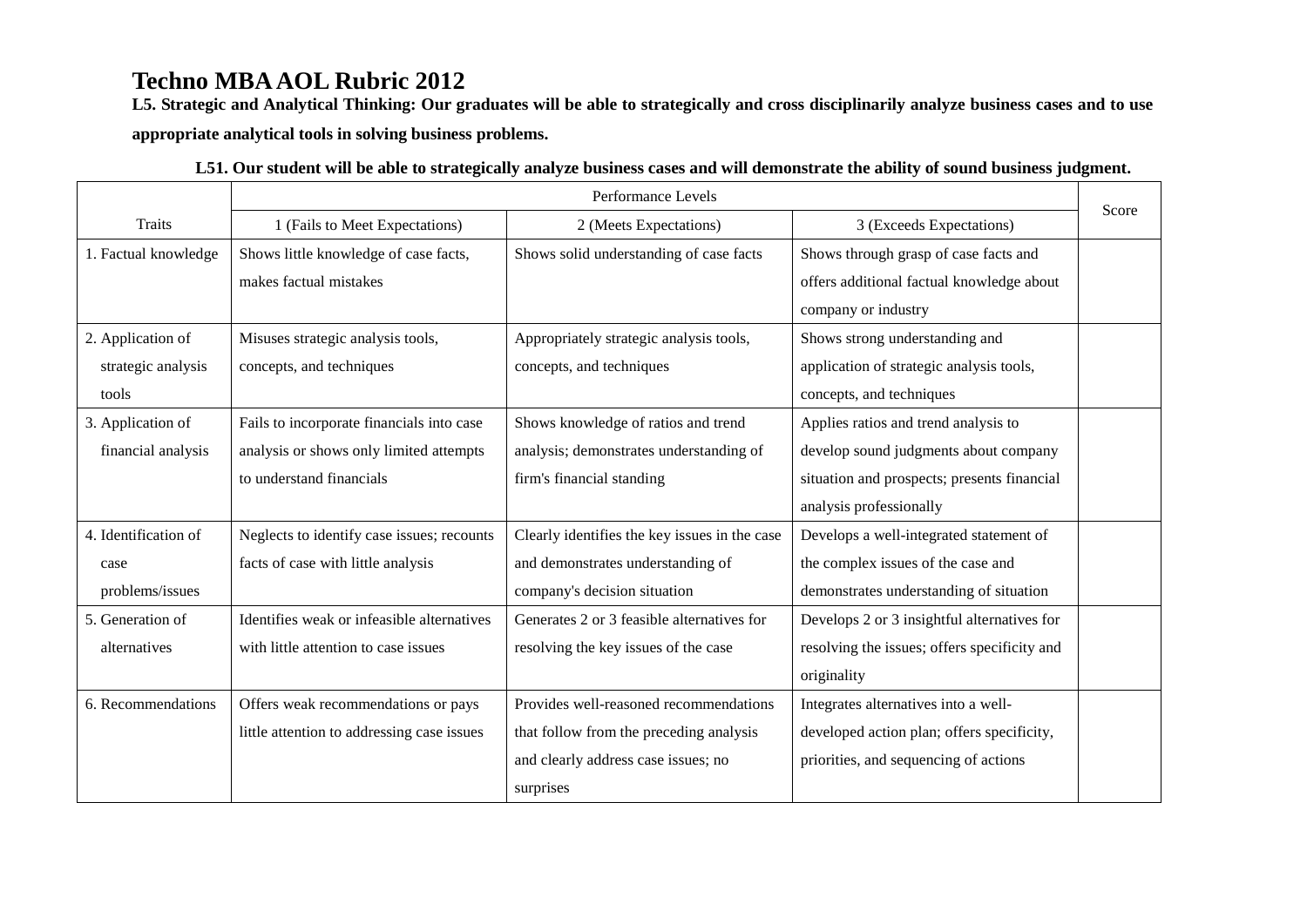**L5. Strategic and Analytical Thinking: Our graduates will be able to strategically and cross disciplinarily analyze business cases and to use appropriate analytical tools in solving business problems.** 

|                      | Performance Levels                         |                                               |                                              |       |
|----------------------|--------------------------------------------|-----------------------------------------------|----------------------------------------------|-------|
| <b>Traits</b>        | 1 (Fails to Meet Expectations)             | 2 (Meets Expectations)                        | 3 (Exceeds Expectations)                     | Score |
| 1. Factual knowledge | Shows little knowledge of case facts,      | Shows solid understanding of case facts       | Shows through grasp of case facts and        |       |
|                      | makes factual mistakes                     |                                               | offers additional factual knowledge about    |       |
|                      |                                            |                                               | company or industry                          |       |
| 2. Application of    | Misuses strategic analysis tools,          | Appropriately strategic analysis tools,       | Shows strong understanding and               |       |
| strategic analysis   | concepts, and techniques                   | concepts, and techniques                      | application of strategic analysis tools,     |       |
| tools                |                                            |                                               | concepts, and techniques                     |       |
| 3. Application of    | Fails to incorporate financials into case  | Shows knowledge of ratios and trend           | Applies ratios and trend analysis to         |       |
| financial analysis   | analysis or shows only limited attempts    | analysis; demonstrates understanding of       | develop sound judgments about company        |       |
|                      | to understand financials                   | firm's financial standing                     | situation and prospects; presents financial  |       |
|                      |                                            |                                               | analysis professionally                      |       |
| 4. Identification of | Neglects to identify case issues; recounts | Clearly identifies the key issues in the case | Develops a well-integrated statement of      |       |
| case                 | facts of case with little analysis         | and demonstrates understanding of             | the complex issues of the case and           |       |
| problems/issues      |                                            | company's decision situation                  | demonstrates understanding of situation      |       |
| 5. Generation of     | Identifies weak or infeasible alternatives | Generates 2 or 3 feasible alternatives for    | Develops 2 or 3 insightful alternatives for  |       |
| alternatives         | with little attention to case issues       | resolving the key issues of the case          | resolving the issues; offers specificity and |       |
|                      |                                            |                                               | originality                                  |       |
| 6. Recommendations   | Offers weak recommendations or pays        | Provides well-reasoned recommendations        | Integrates alternatives into a well-         |       |
|                      | little attention to addressing case issues | that follow from the preceding analysis       | developed action plan; offers specificity,   |       |
|                      |                                            | and clearly address case issues; no           | priorities, and sequencing of actions        |       |
|                      |                                            | surprises                                     |                                              |       |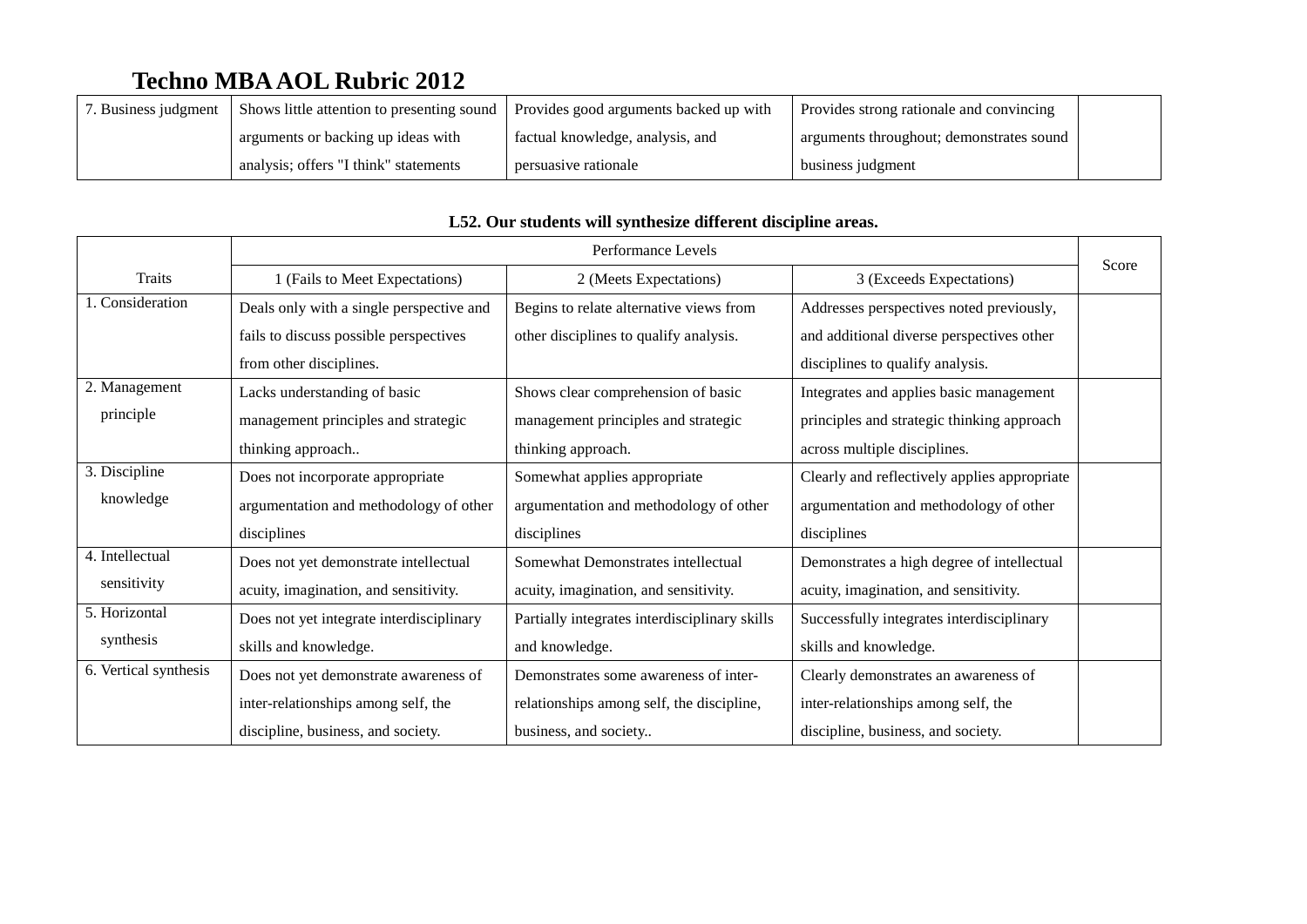| 7. Business judgment | Shows little attention to presenting sound | Provides good arguments backed up with | Provides strong rationale and convincing |  |
|----------------------|--------------------------------------------|----------------------------------------|------------------------------------------|--|
|                      | arguments or backing up ideas with         | factual knowledge, analysis, and       | arguments throughout; demonstrates sound |  |
|                      | analysis; offers "I think" statements      | persuasive rationale                   | business judgment                        |  |

|                       | Performance Levels                       |                                               |                                              | Score |
|-----------------------|------------------------------------------|-----------------------------------------------|----------------------------------------------|-------|
| Traits                | 1 (Fails to Meet Expectations)           | 2 (Meets Expectations)                        | 3 (Exceeds Expectations)                     |       |
| 1. Consideration      | Deals only with a single perspective and | Begins to relate alternative views from       | Addresses perspectives noted previously,     |       |
|                       | fails to discuss possible perspectives   | other disciplines to qualify analysis.        | and additional diverse perspectives other    |       |
|                       | from other disciplines.                  |                                               | disciplines to qualify analysis.             |       |
| 2. Management         | Lacks understanding of basic             | Shows clear comprehension of basic            | Integrates and applies basic management      |       |
| principle             | management principles and strategic      | management principles and strategic           | principles and strategic thinking approach   |       |
|                       | thinking approach                        | thinking approach.                            | across multiple disciplines.                 |       |
| 3. Discipline         | Does not incorporate appropriate         | Somewhat applies appropriate                  | Clearly and reflectively applies appropriate |       |
| knowledge             | argumentation and methodology of other   | argumentation and methodology of other        | argumentation and methodology of other       |       |
|                       | disciplines                              | disciplines                                   | disciplines                                  |       |
| 4. Intellectual       | Does not yet demonstrate intellectual    | Somewhat Demonstrates intellectual            | Demonstrates a high degree of intellectual   |       |
| sensitivity           | acuity, imagination, and sensitivity.    | acuity, imagination, and sensitivity.         | acuity, imagination, and sensitivity.        |       |
| 5. Horizontal         | Does not yet integrate interdisciplinary | Partially integrates interdisciplinary skills | Successfully integrates interdisciplinary    |       |
| synthesis             | skills and knowledge.                    | and knowledge.                                | skills and knowledge.                        |       |
| 6. Vertical synthesis | Does not yet demonstrate awareness of    | Demonstrates some awareness of inter-         | Clearly demonstrates an awareness of         |       |
|                       | inter-relationships among self, the      | relationships among self, the discipline,     | inter-relationships among self, the          |       |
|                       | discipline, business, and society.       | business, and society                         | discipline, business, and society.           |       |

### **L52. Our students will synthesize different discipline areas.**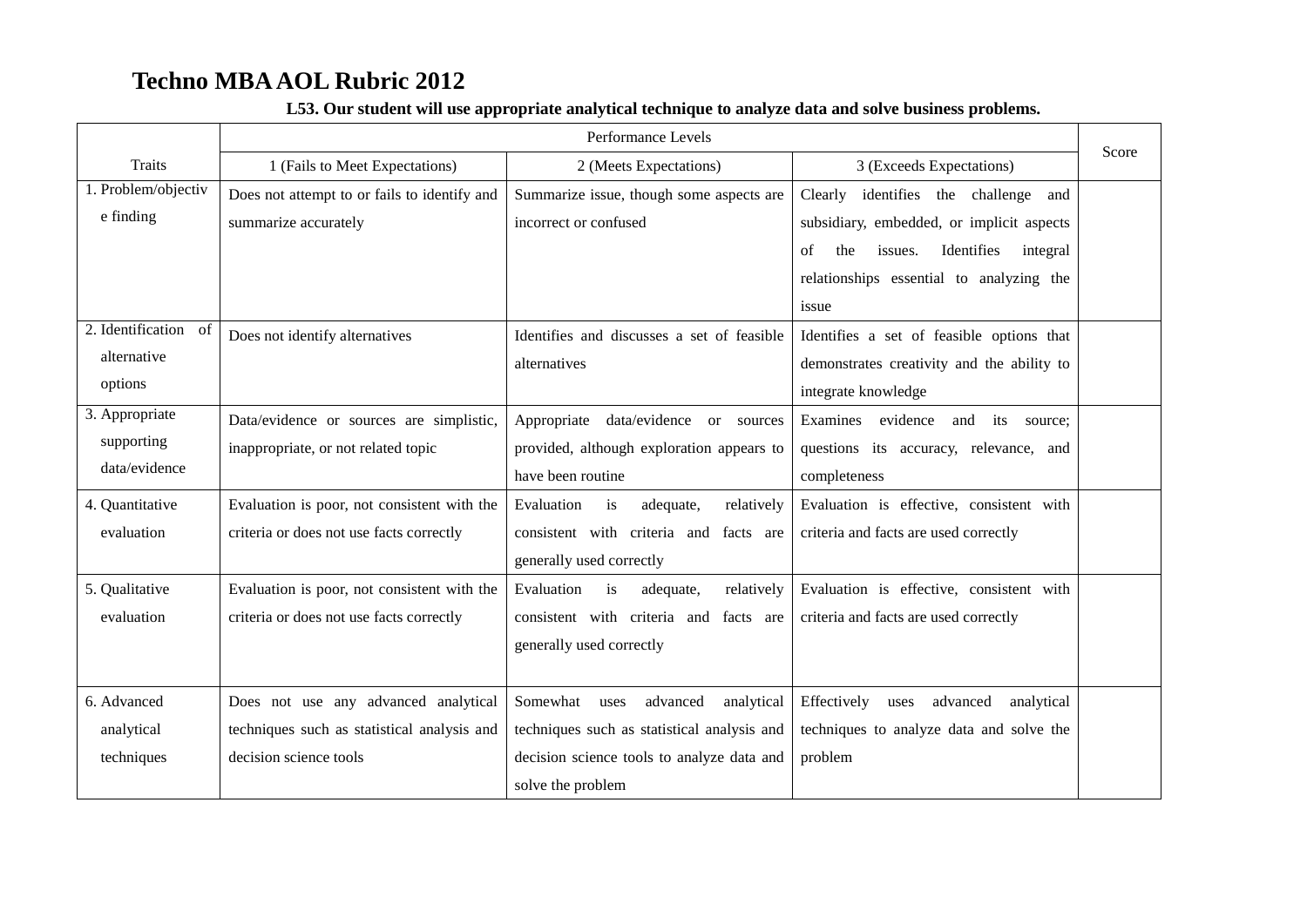|                                                | Performance Levels                                                                                            |                                                                                                                                                              |                                                                                                                                                  | Score |
|------------------------------------------------|---------------------------------------------------------------------------------------------------------------|--------------------------------------------------------------------------------------------------------------------------------------------------------------|--------------------------------------------------------------------------------------------------------------------------------------------------|-------|
| Traits                                         | 1 (Fails to Meet Expectations)                                                                                | 2 (Meets Expectations)                                                                                                                                       | 3 (Exceeds Expectations)                                                                                                                         |       |
| 1. Problem/objectiv<br>e finding               | Does not attempt to or fails to identify and                                                                  | Summarize issue, though some aspects are                                                                                                                     | Clearly<br>identifies the challenge and                                                                                                          |       |
|                                                | summarize accurately                                                                                          | incorrect or confused                                                                                                                                        | subsidiary, embedded, or implicit aspects<br>issues.<br>Identifies<br>integral<br>of<br>the<br>relationships essential to analyzing the<br>issue |       |
| 2. Identification of<br>alternative<br>options | Does not identify alternatives                                                                                | Identifies and discusses a set of feasible<br>alternatives                                                                                                   | Identifies a set of feasible options that<br>demonstrates creativity and the ability to<br>integrate knowledge                                   |       |
| 3. Appropriate<br>supporting<br>data/evidence  | Data/evidence or sources are simplistic,<br>inappropriate, or not related topic                               | Appropriate data/evidence or sources<br>provided, although exploration appears to<br>have been routine                                                       | Examines evidence<br>and its source;<br>questions its accuracy, relevance, and<br>completeness                                                   |       |
| 4. Quantitative<br>evaluation                  | Evaluation is poor, not consistent with the<br>criteria or does not use facts correctly                       | Evaluation<br>adequate,<br>relatively<br>is<br>consistent with criteria and facts are<br>generally used correctly                                            | Evaluation is effective, consistent with<br>criteria and facts are used correctly                                                                |       |
| 5. Qualitative<br>evaluation                   | Evaluation is poor, not consistent with the<br>criteria or does not use facts correctly                       | Evaluation<br>is<br>adequate,<br>relatively<br>consistent with criteria and facts are<br>generally used correctly                                            | Evaluation is effective, consistent with<br>criteria and facts are used correctly                                                                |       |
| 6. Advanced<br>analytical<br>techniques        | Does not use any advanced analytical<br>techniques such as statistical analysis and<br>decision science tools | Somewhat<br>advanced<br>analytical<br>uses<br>techniques such as statistical analysis and<br>decision science tools to analyze data and<br>solve the problem | Effectively<br>advanced<br>uses<br>analytical<br>techniques to analyze data and solve the<br>problem                                             |       |

### **L53. Our student will use appropriate analytical technique to analyze data and solve business problems.**